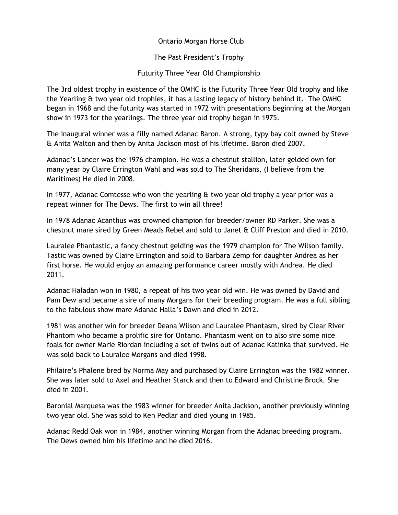## Ontario Morgan Horse Club

The Past President's Trophy

## Futurity Three Year Old Championship

The 3rd oldest trophy in existence of the OMHC is the Futurity Three Year Old trophy and like the Yearling & two year old trophies, it has a lasting legacy of history behind it. The OMHC began in 1968 and the futurity was started in 1972 with presentations beginning at the Morgan show in 1973 for the yearlings. The three year old trophy began in 1975.

The inaugural winner was a filly named Adanac Baron. A strong, typy bay colt owned by Steve & Anita Walton and then by Anita Jackson most of his lifetime. Baron died 2007.

Adanac's Lancer was the 1976 champion. He was a chestnut stallion, later gelded own for many year by Claire Errington Wahl and was sold to The Sheridans, (I believe from the Maritimes) He died in 2008.

In 1977, Adanac Comtesse who won the yearling & two year old trophy a year prior was a repeat winner for The Dews. The first to win all three!

In 1978 Adanac Acanthus was crowned champion for breeder/owner RD Parker. She was a chestnut mare sired by Green Meads Rebel and sold to Janet & Cliff Preston and died in 2010.

Lauralee Phantastic, a fancy chestnut gelding was the 1979 champion for The Wilson family. Tastic was owned by Claire Errington and sold to Barbara Zemp for daughter Andrea as her first horse. He would enjoy an amazing performance career mostly with Andrea. He died 2011.

Adanac Haladan won in 1980, a repeat of his two year old win. He was owned by David and Pam Dew and became a sire of many Morgans for their breeding program. He was a full sibling to the fabulous show mare Adanac Halla's Dawn and died in 2012.

1981 was another win for breeder Deana Wilson and Lauralee Phantasm, sired by Clear River Phantom who became a prolific sire for Ontario. Phantasm went on to also sire some nice foals for owner Marie Riordan including a set of twins out of Adanac Katinka that survived. He was sold back to Lauralee Morgans and died 1998.

Philaire's Phalene bred by Norma May and purchased by Claire Errington was the 1982 winner. She was later sold to Axel and Heather Starck and then to Edward and Christine Brock. She died in 2001.

Baronial Marquesa was the 1983 winner for breeder Anita Jackson, another previously winning two year old. She was sold to Ken Pedlar and died young in 1985.

Adanac Redd Oak won in 1984, another winning Morgan from the Adanac breeding program. The Dews owned him his lifetime and he died 2016.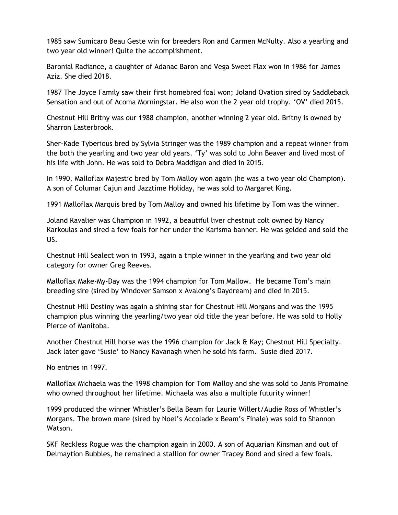1985 saw Sumicaro Beau Geste win for breeders Ron and Carmen McNulty. Also a yearling and two year old winner! Quite the accomplishment.

Baronial Radiance, a daughter of Adanac Baron and Vega Sweet Flax won in 1986 for James Aziz. She died 2018.

1987 The Joyce Family saw their first homebred foal won; Joland Ovation sired by Saddleback Sensation and out of Acoma Morningstar. He also won the 2 year old trophy. 'OV' died 2015.

Chestnut Hill Britny was our 1988 champion, another winning 2 year old. Britny is owned by Sharron Easterbrook.

Sher-Kade Tyberious bred by Sylvia Stringer was the 1989 champion and a repeat winner from the both the yearling and two year old years. 'Ty' was sold to John Beaver and lived most of his life with John. He was sold to Debra Maddigan and died in 2015.

In 1990, Malloflax Majestic bred by Tom Malloy won again (he was a two year old Champion). A son of Columar Cajun and Jazztime Holiday, he was sold to Margaret King.

1991 Malloflax Marquis bred by Tom Malloy and owned his lifetime by Tom was the winner.

Joland Kavalier was Champion in 1992, a beautiful liver chestnut colt owned by Nancy Karkoulas and sired a few foals for her under the Karisma banner. He was gelded and sold the US.

Chestnut Hill Sealect won in 1993, again a triple winner in the yearling and two year old category for owner Greg Reeves.

Malloflax Make-My-Day was the 1994 champion for Tom Mallow. He became Tom's main breeding sire (sired by Windover Samson x Avalong's Daydream) and died in 2015.

Chestnut Hill Destiny was again a shining star for Chestnut Hill Morgans and was the 1995 champion plus winning the yearling/two year old title the year before. He was sold to Holly Pierce of Manitoba.

Another Chestnut Hill horse was the 1996 champion for Jack & Kay; Chestnut Hill Specialty. Jack later gave 'Susie' to Nancy Kavanagh when he sold his farm. Susie died 2017.

No entries in 1997.

Malloflax Michaela was the 1998 champion for Tom Malloy and she was sold to Janis Promaine who owned throughout her lifetime. Michaela was also a multiple futurity winner!

1999 produced the winner Whistler's Bella Beam for Laurie Willert/Audie Ross of Whistler's Morgans. The brown mare (sired by Noel's Accolade x Beam's Finale) was sold to Shannon Watson.

SKF Reckless Rogue was the champion again in 2000. A son of Aquarian Kinsman and out of Delmaytion Bubbles, he remained a stallion for owner Tracey Bond and sired a few foals.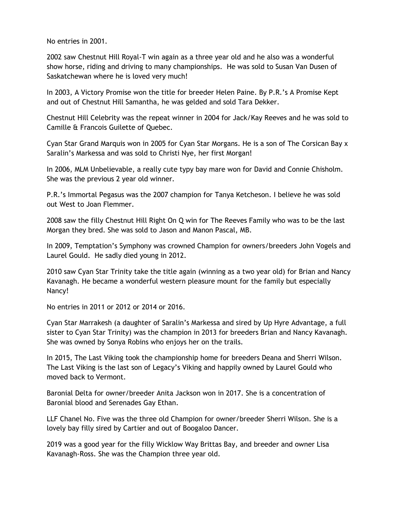No entries in 2001.

2002 saw Chestnut Hill Royal-T win again as a three year old and he also was a wonderful show horse, riding and driving to many championships. He was sold to Susan Van Dusen of Saskatchewan where he is loved very much!

In 2003, A Victory Promise won the title for breeder Helen Paine. By P.R.'s A Promise Kept and out of Chestnut Hill Samantha, he was gelded and sold Tara Dekker.

Chestnut Hill Celebrity was the repeat winner in 2004 for Jack/Kay Reeves and he was sold to Camille & Francois Guilette of Quebec.

Cyan Star Grand Marquis won in 2005 for Cyan Star Morgans. He is a son of The Corsican Bay x Saralin's Markessa and was sold to Christi Nye, her first Morgan!

In 2006, MLM Unbelievable, a really cute typy bay mare won for David and Connie Chisholm. She was the previous 2 year old winner.

P.R.'s Immortal Pegasus was the 2007 champion for Tanya Ketcheson. I believe he was sold out West to Joan Flemmer.

2008 saw the filly Chestnut Hill Right On Q win for The Reeves Family who was to be the last Morgan they bred. She was sold to Jason and Manon Pascal, MB.

In 2009, Temptation's Symphony was crowned Champion for owners/breeders John Vogels and Laurel Gould. He sadly died young in 2012.

2010 saw Cyan Star Trinity take the title again (winning as a two year old) for Brian and Nancy Kavanagh. He became a wonderful western pleasure mount for the family but especially Nancy!

No entries in 2011 or 2012 or 2014 or 2016.

Cyan Star Marrakesh (a daughter of Saralin's Markessa and sired by Up Hyre Advantage, a full sister to Cyan Star Trinity) was the champion in 2013 for breeders Brian and Nancy Kavanagh. She was owned by Sonya Robins who enjoys her on the trails.

In 2015, The Last Viking took the championship home for breeders Deana and Sherri Wilson. The Last Viking is the last son of Legacy's Viking and happily owned by Laurel Gould who moved back to Vermont.

Baronial Delta for owner/breeder Anita Jackson won in 2017. She is a concentration of Baronial blood and Serenades Gay Ethan.

LLF Chanel No. Five was the three old Champion for owner/breeder Sherri Wilson. She is a lovely bay filly sired by Cartier and out of Boogaloo Dancer.

2019 was a good year for the filly Wicklow Way Brittas Bay, and breeder and owner Lisa Kavanagh-Ross. She was the Champion three year old.